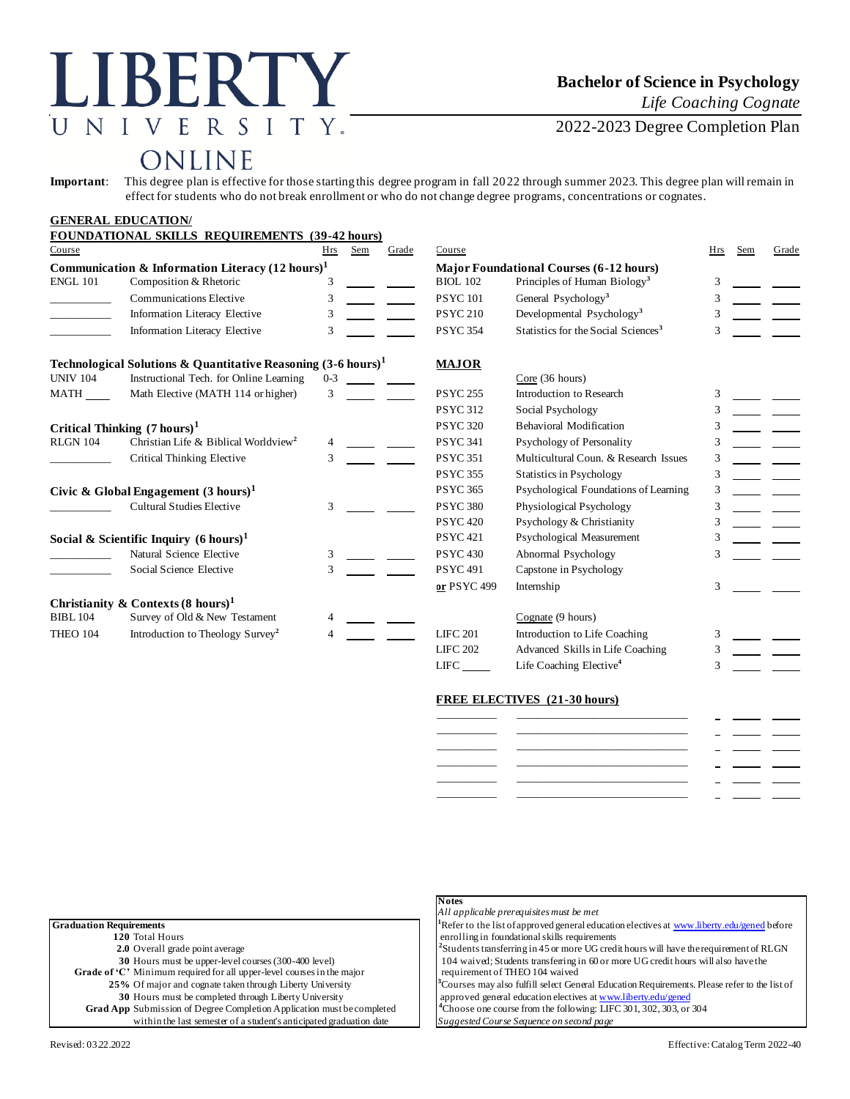# LIBERTY UNIVERSITY.

### **Bachelor of Science in Psychology**

*Life Coaching Cognate*

2022-2023 Degree Completion Plan

## ONLINE

**Important**: This degree plan is effective for those starting this degree program in fall 2022 through summer 2023. This degree plan will remain in effect for students who do not break enrollment or who do not change degree programs, concentrations or cognates.

|                                                             | <b>GENERAL EDUCATION/</b>                                                |         |                                                |                                       |                 |                                                 |     |     |       |
|-------------------------------------------------------------|--------------------------------------------------------------------------|---------|------------------------------------------------|---------------------------------------|-----------------|-------------------------------------------------|-----|-----|-------|
|                                                             | <b>FOUNDATIONAL SKILLS REQUIREMENTS (39-42 hours)</b>                    |         |                                                |                                       |                 |                                                 |     |     |       |
| Course                                                      |                                                                          | Hrs     | Sem                                            | Grade                                 | Course          |                                                 | Hrs | Sem | Grade |
| Communication & Information Literacy $(12 \text{ hours})^1$ |                                                                          |         | <b>Major Foundational Courses (6-12 hours)</b> |                                       |                 |                                                 |     |     |       |
| <b>ENGL 101</b>                                             | Composition & Rhetoric                                                   |         |                                                |                                       | <b>BIOL 102</b> | Principles of Human Biology <sup>3</sup>        | 3   |     |       |
|                                                             | Communications Elective                                                  | 3       |                                                |                                       | <b>PSYC101</b>  | General Psychology <sup>3</sup>                 | 3   |     |       |
|                                                             | Information Literacy Elective                                            | 3       |                                                |                                       | <b>PSYC 210</b> | Developmental Psychology <sup>3</sup>           | 3   |     |       |
|                                                             | <b>Information Literacy Elective</b>                                     | 3       |                                                |                                       | <b>PSYC 354</b> | Statistics for the Social Sciences <sup>3</sup> | 3   |     |       |
|                                                             | Technological Solutions & Quantitative Reasoning $(3-6 \text{ hours})^1$ |         |                                                |                                       | <b>MAJOR</b>    |                                                 |     |     |       |
| <b>UNIV 104</b>                                             | Instructional Tech. for Online Learning                                  | $0 - 3$ |                                                |                                       |                 | Core(36 hours)                                  |     |     |       |
| MATH                                                        | Math Elective (MATH 114 or higher)                                       | 3       |                                                |                                       | <b>PSYC 255</b> | Introduction to Research                        | 3   |     |       |
|                                                             |                                                                          |         |                                                |                                       | <b>PSYC 312</b> | Social Psychology                               | 3   |     |       |
| Critical Thinking $(7 \text{ hours})^1$                     |                                                                          |         | <b>PSYC 320</b>                                | <b>Behavioral Modification</b>        | 3               |                                                 |     |     |       |
| <b>RLGN 104</b>                                             | Christian Life & Biblical Worldview <sup>2</sup>                         | 4       |                                                |                                       | <b>PSYC 341</b> | Psychology of Personality                       | 3   |     |       |
|                                                             | Critical Thinking Elective                                               | 3       |                                                |                                       | <b>PSYC 351</b> | Multicultural Coun. & Research Issues           | 3   |     |       |
|                                                             |                                                                          |         |                                                |                                       | <b>PSYC 355</b> | <b>Statistics in Psychology</b>                 | 3   |     |       |
| Civic & Global Engagement $(3 \text{ hours})^1$             |                                                                          |         | <b>PSYC 365</b>                                | Psychological Foundations of Learning | 3               |                                                 |     |     |       |
|                                                             | <b>Cultural Studies Elective</b>                                         | 3       |                                                |                                       | <b>PSYC 380</b> | Physiological Psychology                        | 3   |     |       |
|                                                             |                                                                          |         |                                                |                                       | <b>PSYC 420</b> | Psychology & Christianity                       | 3   |     |       |
| Social & Scientific Inquiry $(6 \text{ hours})^1$           |                                                                          |         | <b>PSYC 421</b>                                | Psychological Measurement             | 3               |                                                 |     |     |       |
|                                                             | Natural Science Elective                                                 | 3       |                                                |                                       | <b>PSYC 430</b> | Abnormal Psychology                             | 3   |     |       |
|                                                             | Social Science Elective                                                  | 3       |                                                |                                       | <b>PSYC 491</b> | Capstone in Psychology                          |     |     |       |
|                                                             |                                                                          |         |                                                |                                       | or PSYC 499     | Internship                                      | 3   |     |       |
|                                                             | Christianity & Contexts $(8 \text{ hours})^1$                            |         |                                                |                                       |                 |                                                 |     |     |       |
| <b>BIBL 104</b>                                             | Survey of Old & New Testament                                            |         |                                                |                                       |                 | Cognate (9 hours)                               |     |     |       |
| <b>THEO 104</b>                                             | Introduction to Theology Survey <sup>2</sup>                             |         |                                                |                                       | <b>LIFC 201</b> | Introduction to Life Coaching                   | 3   |     |       |
|                                                             |                                                                          |         |                                                |                                       | <b>LIFC 202</b> | Advanced Skills in Life Coaching                | 3   |     |       |
|                                                             |                                                                          |         |                                                |                                       | LIFC            | Life Coaching Elective <sup>4</sup>             | 3   |     |       |
|                                                             |                                                                          |         |                                                |                                       |                 |                                                 |     |     |       |

#### **FREE ELECTIVES (21-30 hours)**

| _________ |  |  |
|-----------|--|--|
|           |  |  |
|           |  |  |
|           |  |  |
|           |  |  |

|                                                                               | All applicable prerequisites must be met                                                                 |
|-------------------------------------------------------------------------------|----------------------------------------------------------------------------------------------------------|
| <b>Graduation Requirements</b>                                                | <sup>1</sup> Refer to the list of approved general education electives at www.liberty.edu/gened before   |
| 120 Total Hours                                                               | enrolling in foundational skills requirements                                                            |
| <b>2.0</b> Overall grade point average                                        | <sup>2</sup> Students transferring in 45 or more UG credit hours will have the requirement of RLGN       |
| 30 Hours must be upper-level courses (300-400 level)                          | 104 waived; Students transferring in 60 or more UG credit hours will also have the                       |
| <b>Grade of 'C'</b> Minimum required for all upper-level courses in the major | requirement of THEO 104 waived                                                                           |
| 25% Of major and cognate taken through Liberty University                     | <sup>3</sup> Courses may also fulfill select General Education Requirements. Please refer to the list of |
| 30 Hours must be completed through Liberty University                         | approved general education electives at www.liberty.edu/gened                                            |
| <b>Grad App</b> Submission of Degree Completion Application must be completed | <sup>4</sup> Choose one course from the following: LIFC 301, 302, 303, or 304                            |
| within the last semester of a student's anticipated graduation date           | Suggested Course Sequence on second page                                                                 |